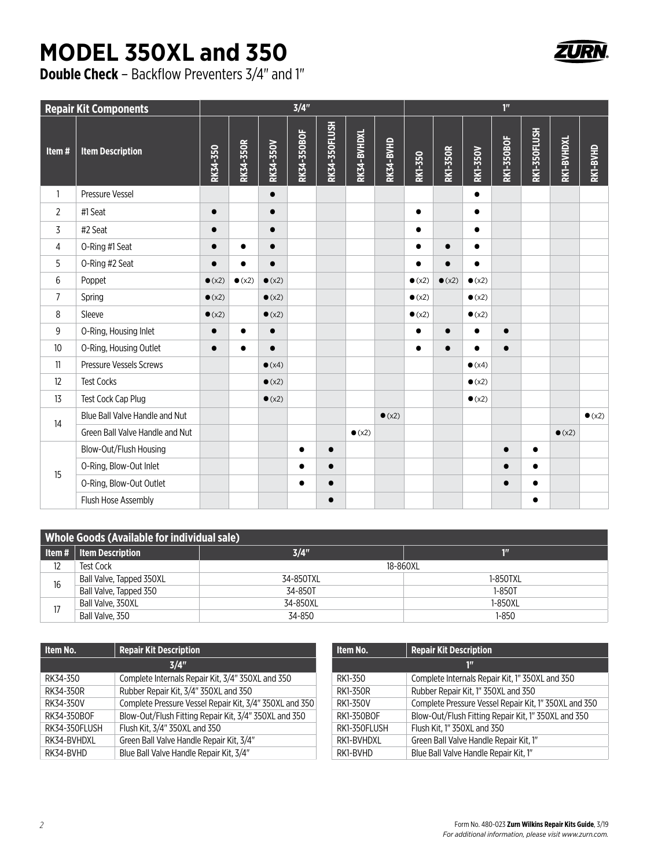## **MODEL 350XL and 350**

**Double Check** – Backflow Preventers 3/4" and 1"

| <b>Repair Kit Components</b> | 3/4"                            |                |                  |                  |             |               | 1 <sup>n</sup> |                |                |                 |                 |                   |              |                |                |
|------------------------------|---------------------------------|----------------|------------------|------------------|-------------|---------------|----------------|----------------|----------------|-----------------|-----------------|-------------------|--------------|----------------|----------------|
| Item#                        | <b>Item Description</b>         | RK34-350       | <b>RK34-350R</b> | <b>RK34-350V</b> | RK34-350BOF | RK34-350FLUSH | RK34-BVHDXL    | RK34-BVHD      | RK1-350        | <b>RK1-350R</b> | <b>RK1-350V</b> | <b>RK1-350BOF</b> | RK1-350FLUSH | RK1-BVHDXL     | RK1-BVHD       |
| $\mathbf{1}$                 | Pressure Vessel                 |                |                  | $\bullet$        |             |               |                |                |                |                 | $\bullet$       |                   |              |                |                |
| $\overline{2}$               | #1 Seat                         | $\bullet$      |                  | $\bullet$        |             |               |                |                | $\bullet$      |                 | $\bullet$       |                   |              |                |                |
| 3                            | #2 Seat                         | $\bullet$      |                  | $\bullet$        |             |               |                |                | $\bullet$      |                 | $\bullet$       |                   |              |                |                |
| 4                            | O-Ring #1 Seat                  | $\bullet$      | $\bullet$        | $\bullet$        |             |               |                |                | $\bullet$      | $\bullet$       | $\bullet$       |                   |              |                |                |
| 5                            | O-Ring #2 Seat                  |                |                  | $\bullet$        |             |               |                |                | $\bullet$      |                 | $\bullet$       |                   |              |                |                |
| 6                            | Poppet                          | $\bullet$ (x2) | $\bullet$ (x2)   | $\bullet$ (x2)   |             |               |                |                | $\bullet$ (x2) | $\bullet$ (x2)  | $\bullet$ (x2)  |                   |              |                |                |
| $\overline{7}$               | Spring                          | $\bullet$ (x2) |                  | $\bullet$ (x2)   |             |               |                |                | $\bullet$ (x2) |                 | $\bullet$ (x2)  |                   |              |                |                |
| 8                            | Sleeve                          | $\bullet$ (x2) |                  | $\bullet$ (x2)   |             |               |                |                | $\bullet$ (x2) |                 | $\bullet$ (x2)  |                   |              |                |                |
| 9                            | O-Ring, Housing Inlet           | $\bullet$      | $\bullet$        | $\bullet$        |             |               |                |                | $\bullet$      | $\bullet$       | $\bullet$       | $\bullet$         |              |                |                |
| 10                           | O-Ring, Housing Outlet          | $\bullet$      | $\bullet$        | $\bullet$        |             |               |                |                | $\bullet$      |                 | $\bullet$       | $\bullet$         |              |                |                |
| 11                           | Pressure Vessels Screws         |                |                  | $\bullet$ (x4)   |             |               |                |                |                |                 | $\bullet$ (x4)  |                   |              |                |                |
| 12                           | <b>Test Cocks</b>               |                |                  | $\bullet$ (x2)   |             |               |                |                |                |                 | $\bullet$ (x2)  |                   |              |                |                |
| 13                           | Test Cock Cap Plug              |                |                  | $\bullet$ (x2)   |             |               |                |                |                |                 | $\bullet$ (x2)  |                   |              |                |                |
| 14                           | Blue Ball Valve Handle and Nut  |                |                  |                  |             |               |                | $\bullet$ (x2) |                |                 |                 |                   |              |                | $\bullet$ (x2) |
|                              | Green Ball Valve Handle and Nut |                |                  |                  |             |               | $\bullet$ (x2) |                |                |                 |                 |                   |              | $\bullet$ (x2) |                |
| 15                           | Blow-Out/Flush Housing          |                |                  |                  | $\bullet$   | $\bullet$     |                |                |                |                 |                 | $\bullet$         | $\bullet$    |                |                |
|                              | O-Ring, Blow-Out Inlet          |                |                  |                  | $\bullet$   | $\bullet$     |                |                |                |                 |                 | $\bullet$         | $\bullet$    |                |                |
|                              | O-Ring, Blow-Out Outlet         |                |                  |                  | $\bullet$   | $\bullet$     |                |                |                |                 |                 | $\bullet$         |              |                |                |
|                              | Flush Hose Assembly             |                |                  |                  |             | $\bullet$     |                |                |                |                 |                 |                   |              |                |                |

| <b>Whole Goods (Available for individual sale)</b> |                           |           |          |  |  |  |  |
|----------------------------------------------------|---------------------------|-----------|----------|--|--|--|--|
|                                                    | Item #   Item Description | 3/4"      | 10       |  |  |  |  |
| 12                                                 | Test Cock                 | 18-860XL  |          |  |  |  |  |
| 16                                                 | Ball Valve, Tapped 350XL  | 34-850TXL | 1-850TXL |  |  |  |  |
|                                                    | Ball Valve, Tapped 350    | 34-850T   | 1-850T   |  |  |  |  |
|                                                    | Ball Valve, 350XL         | 34-850XL  | 1-850XL  |  |  |  |  |
|                                                    | Ball Valve, 350           | 34-850    | 1-850    |  |  |  |  |

| Item No.      | <b>Repair Kit Description</b>                           | Item No.           | <b>Repair Kit Description</b>                         |  |  |
|---------------|---------------------------------------------------------|--------------------|-------------------------------------------------------|--|--|
|               | 3/4"                                                    | $1^{\prime\prime}$ |                                                       |  |  |
| RK34-350      | Complete Internals Repair Kit, 3/4" 350XL and 350       | RK1-350            | Complete Internals Repair Kit, 1" 350XL and 350       |  |  |
| RK34-350R     | Rubber Repair Kit, 3/4" 350XL and 350                   | RK1-350R           | Rubber Repair Kit, 1" 350XL and 350                   |  |  |
| RK34-350V     | Complete Pressure Vessel Repair Kit, 3/4" 350XL and 350 | RK1-350V           | Complete Pressure Vessel Repair Kit, 1" 350XL and 350 |  |  |
| RK34-350BOF   | Blow-Out/Flush Fitting Repair Kit, 3/4" 350XL and 350   | RK1-350BOF         | Blow-Out/Flush Fitting Repair Kit, 1" 350XL and 350   |  |  |
| RK34-350FLUSH | Flush Kit, 3/4" 350XL and 350                           | RK1-350FLUSH       | Flush Kit. 1" 350XL and 350                           |  |  |
| RK34-BVHDXL   | Green Ball Valve Handle Repair Kit, 3/4"                | RK1-BVHDXL         | Green Ball Valve Handle Repair Kit, 1"                |  |  |
| RK34-BVHD     | Blue Ball Valve Handle Repair Kit. 3/4"                 | RK1-BVHD           | Blue Ball Valve Handle Repair Kit. 1"                 |  |  |